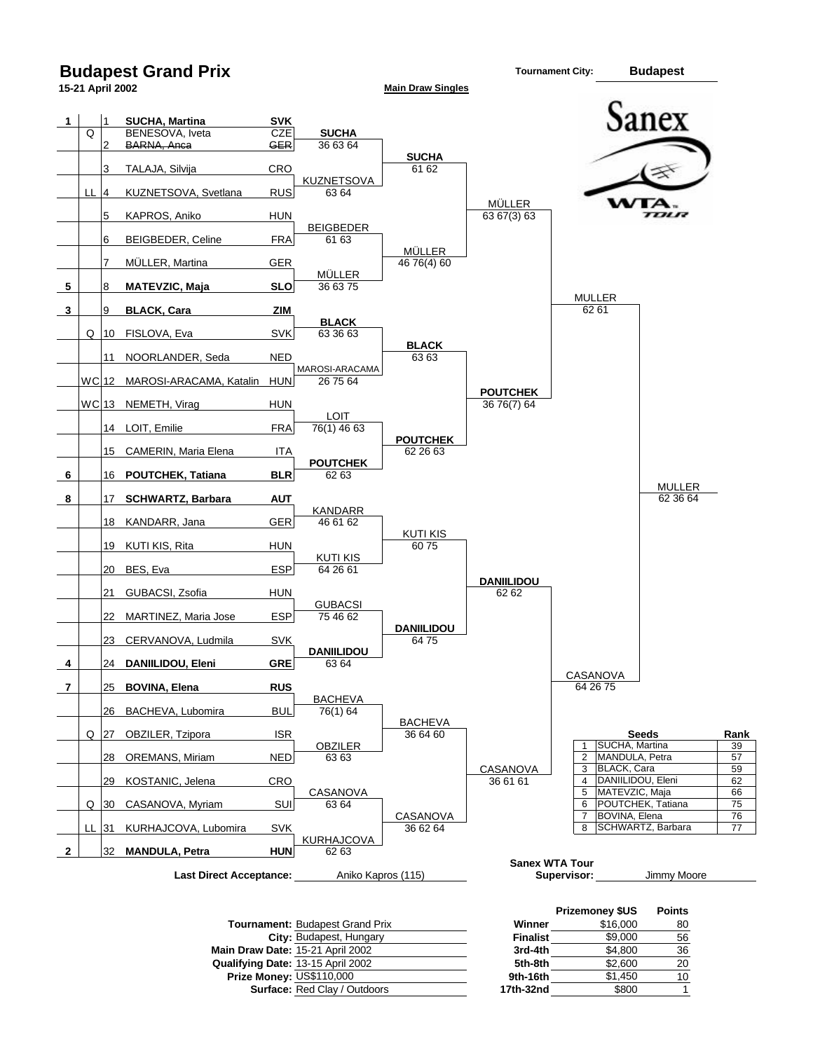

| <b>Tournament: Budapest Grand Prix</b> | Winner          | \$16,000 | 80 |
|----------------------------------------|-----------------|----------|----|
| City: Budapest, Hungary                | <b>Finalist</b> | \$9,000  | 56 |
| Main Draw Date: 15-21 April 2002       | 3rd-4th         | \$4,800  | 36 |
| Qualifying Date: 13-15 April 2002      | 5th-8th         | \$2,600  | 20 |
| Prize Money: US\$110,000               | 9th-16th        | \$1.450  | 10 |
| <b>Surface: Red Clay / Outdoors</b>    | 17th-32nd       | \$800    |    |

|                 | <b>Prizemoney \$US</b> | <b>Points</b> |
|-----------------|------------------------|---------------|
| Winner          | \$16,000               | 80            |
| <b>Finalist</b> | \$9.000                | 56            |
| 3rd-4th         | \$4.800                | 36            |
| 5th-8th         | \$2.600                | 20            |
| 9th-16th        | \$1,450                | 10            |
| 'th-32nd        | \$800                  |               |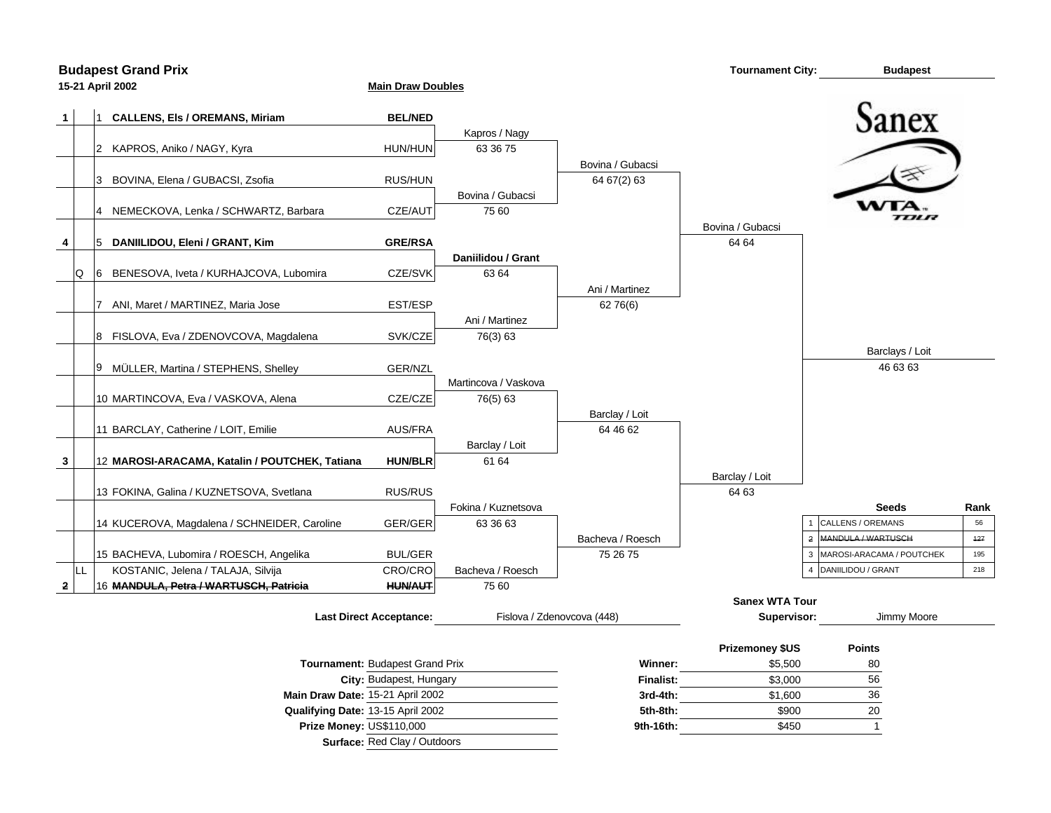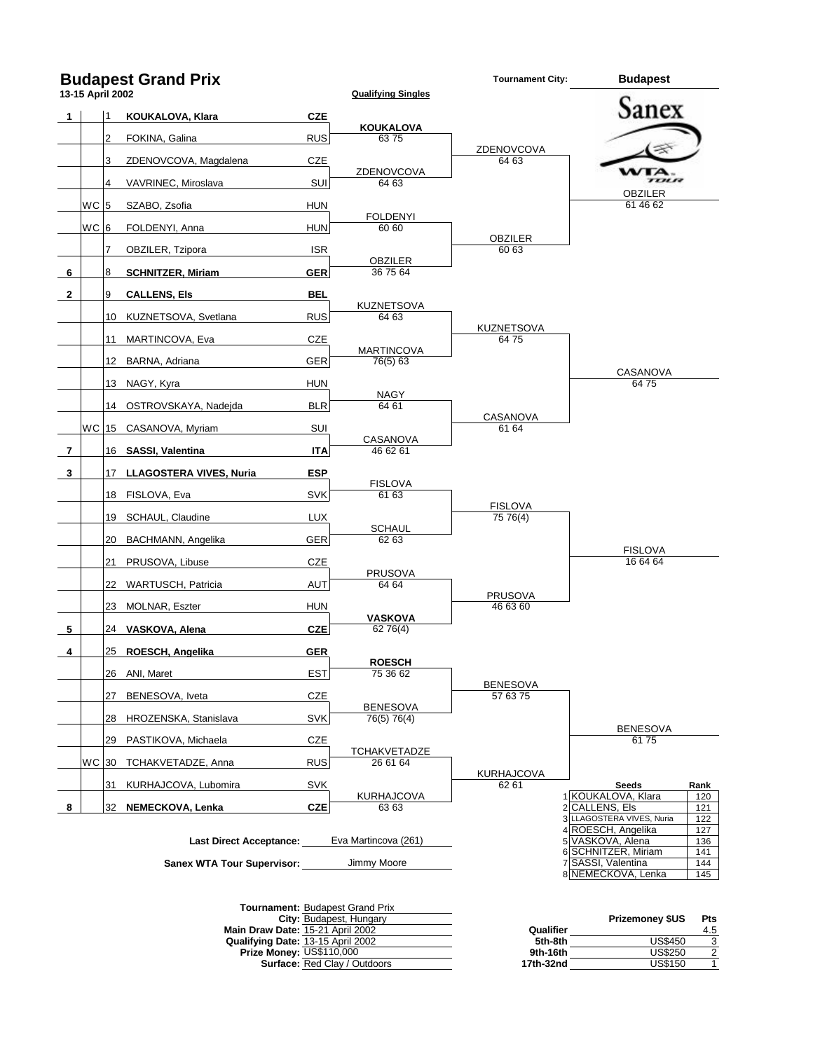

**Qualifying Date:** 13-15 April 2002 **Prize Money: 9th-16th** US\$250 2 US\$110,000 **Surface: Red Clay / Outdoors** 

|           | <b>FILLEITIONEY JUJ</b> | гь  |
|-----------|-------------------------|-----|
| Qualifier |                         | 4.5 |
| 5th-8th   | <b>US\$450</b>          | 3   |
| 9th-16th  | <b>US\$250</b>          | າ   |
| 17th-32nd | <b>US\$150</b>          |     |
|           |                         |     |